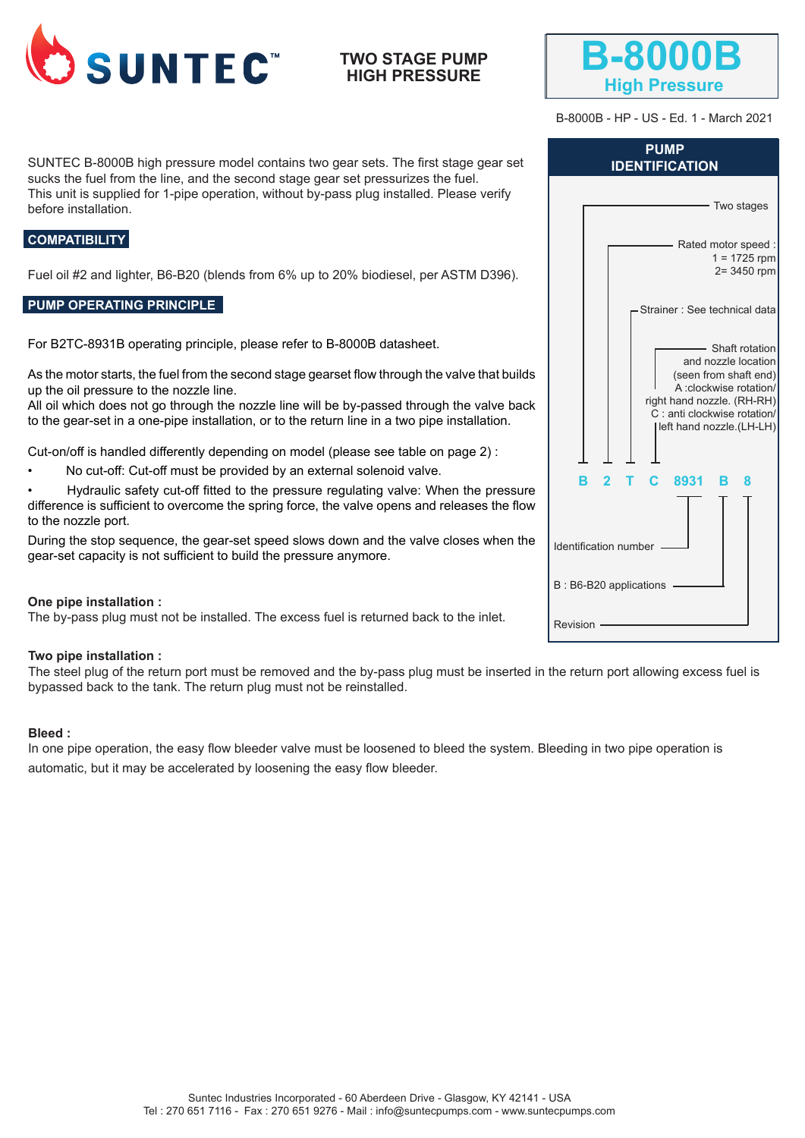

# **TWO STAGE PUMP HIGH PRESSURE**



B-8000B - HP - US - Ed. 1 - March 2021

SUNTEC B-8000B high pressure model contains two gear sets. The first stage gear set sucks the fuel from the line, and the second stage gear set pressurizes the fuel. This unit is supplied for 1-pipe operation, without by-pass plug installed. Please verify before installation.

## **COMPATIBILITY**

Fuel oil #2 and lighter, B6-B20 (blends from 6% up to 20% biodiesel, per ASTM D396).

## **PUMP OPERATING PRINCIPLE**

For B2TC-8931B operating principle, please refer to B-8000B datasheet.

As the motor starts, the fuel from the second stage gearset flow through the valve that builds up the oil pressure to the nozzle line.

All oil which does not go through the nozzle line will be by-passed through the valve back to the gear-set in a one-pipe installation, or to the return line in a two pipe installation.

Cut-on/off is handled differently depending on model (please see table on page 2) :

• No cut-off: Cut-off must be provided by an external solenoid valve.

• Hydraulic safety cut-off fitted to the pressure regulating valve: When the pressure difference is sufficient to overcome the spring force, the valve opens and releases the flow to the nozzle port.

During the stop sequence, the gear-set speed slows down and the valve closes when the gear-set capacity is not sufficient to build the pressure anymore.

#### **One pipe installation :**

The by-pass plug must not be installed. The excess fuel is returned back to the inlet.

#### **Two pipe installation :**

The steel plug of the return port must be removed and the by-pass plug must be inserted in the return port allowing excess fuel is bypassed back to the tank. The return plug must not be reinstalled.

#### **Bleed :**

In one pipe operation, the easy flow bleeder valve must be loosened to bleed the system. Bleeding in two pipe operation is automatic, but it may be accelerated by loosening the easy flow bleeder.

| <b>PUMP</b><br><b>IDENTIFICATION</b>                                                                                                                                                 |  |  |  |  |  |  |
|--------------------------------------------------------------------------------------------------------------------------------------------------------------------------------------|--|--|--|--|--|--|
| Two stages                                                                                                                                                                           |  |  |  |  |  |  |
| Rated motor speed:<br>$1 = 1725$ rpm<br>2= 3450 rpm                                                                                                                                  |  |  |  |  |  |  |
| Strainer: See technical data                                                                                                                                                         |  |  |  |  |  |  |
| - Shaft rotation<br>and nozzle location<br>(seen from shaft end)<br>A :clockwise rotation/<br>right hand nozzle. (RH-RH)<br>C : anti clockwise rotation/<br>left hand nozzle.(LH-LH) |  |  |  |  |  |  |
| $\mathbf{c}$<br>R.<br>$\mathbf{p}$<br>8931<br>в.<br>8                                                                                                                                |  |  |  |  |  |  |
| Identification number                                                                                                                                                                |  |  |  |  |  |  |
| B: B6-B20 applications                                                                                                                                                               |  |  |  |  |  |  |
| Revision                                                                                                                                                                             |  |  |  |  |  |  |